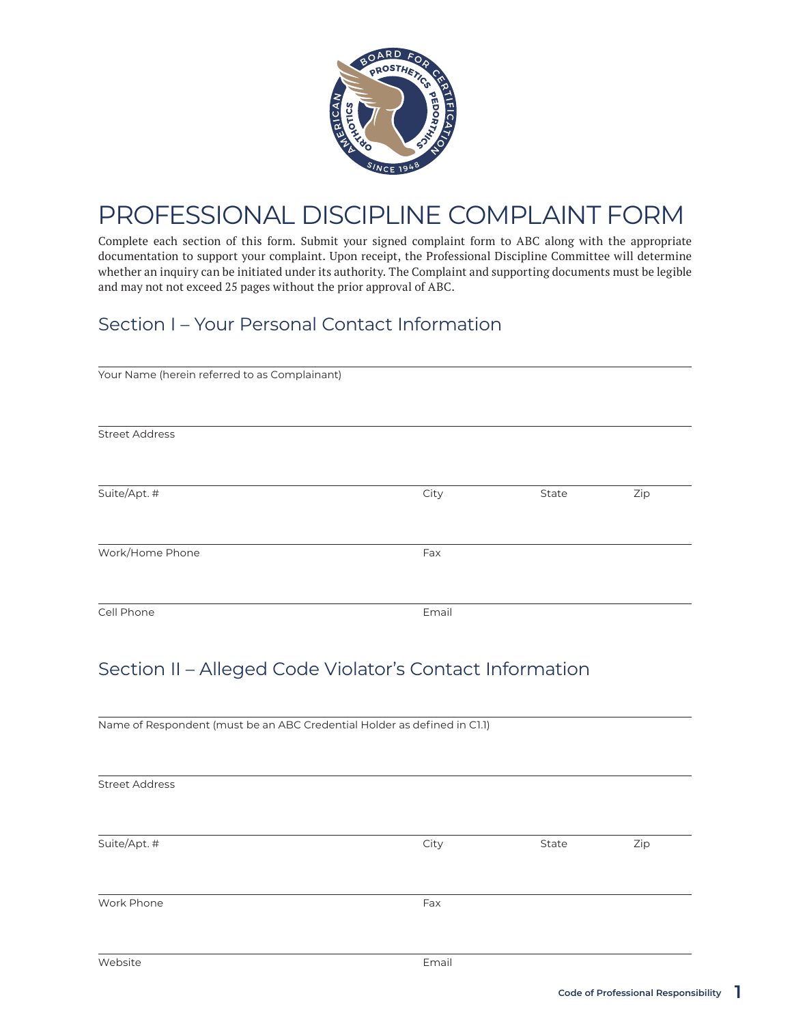

# PROFESSIONAL DISCIPLINE COMPLAINT FORM

Complete each section of this form. Submit your signed complaint form to ABC along with the appropriate documentation to support your complaint. Upon receipt, the Professional Discipline Committee will determine whether an inquiry can be initiated under its authority. The Complaint and supporting documents must be legible and may not not exceed 25 pages without the prior approval of ABC.

## Section I – Your Personal Contact Information

| Your Name (herein referred to as Complainant) |       |       |     |
|-----------------------------------------------|-------|-------|-----|
|                                               |       |       |     |
| <b>Street Address</b>                         |       |       |     |
|                                               |       |       |     |
| Suite/Apt. #                                  | City  | State | Zip |
|                                               |       |       |     |
| Work/Home Phone                               | Fax   |       |     |
|                                               |       |       |     |
| Cell Phone                                    | Email |       |     |

## Section II – Alleged Code Violator's Contact Information

| Name of Respondent (must be an ABC Credential Holder as defined in C1.1) |       |       |     |
|--------------------------------------------------------------------------|-------|-------|-----|
|                                                                          |       |       |     |
|                                                                          |       |       |     |
| <b>Street Address</b>                                                    |       |       |     |
|                                                                          |       |       |     |
|                                                                          |       |       |     |
| Suite/Apt. #                                                             | City  | State | Zip |
|                                                                          |       |       |     |
|                                                                          |       |       |     |
| Work Phone                                                               | Fax   |       |     |
|                                                                          |       |       |     |
|                                                                          |       |       |     |
| Website                                                                  | Email |       |     |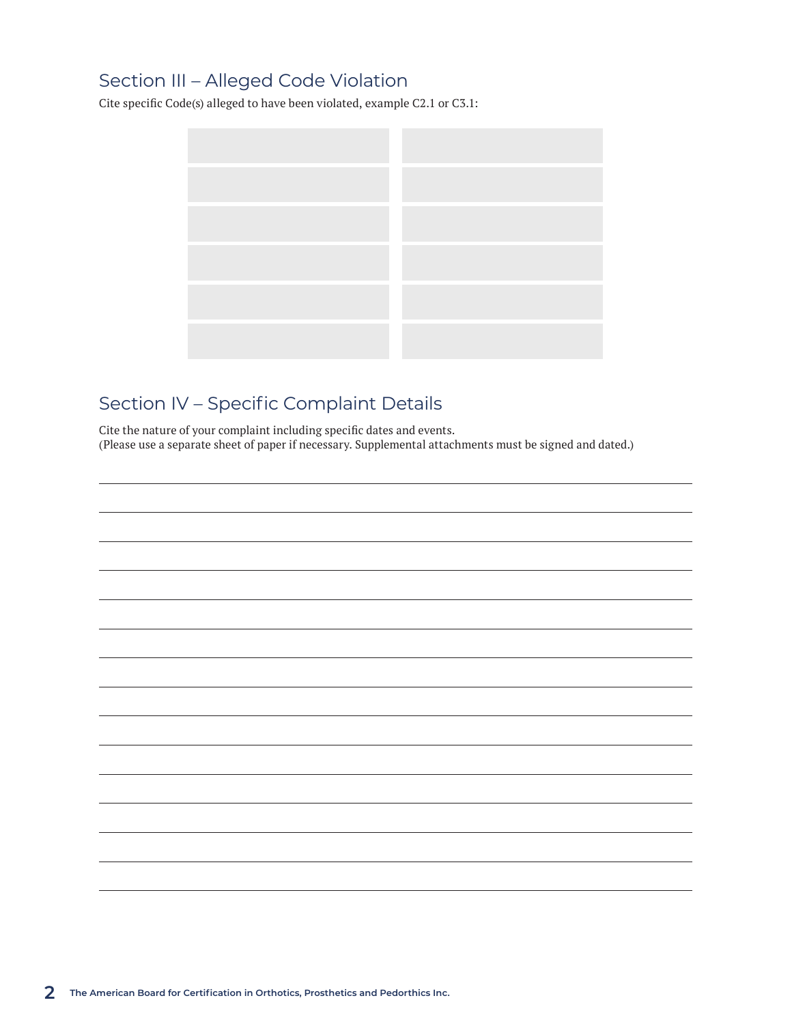### Section III – Alleged Code Violation

Cite specific Code(s) alleged to have been violated, example C2.1 or C3.1:



# Section IV – Specific Complaint Details

Cite the nature of your complaint including specific dates and events. (Please use a separate sheet of paper if necessary. Supplemental attachments must be signed and dated.)